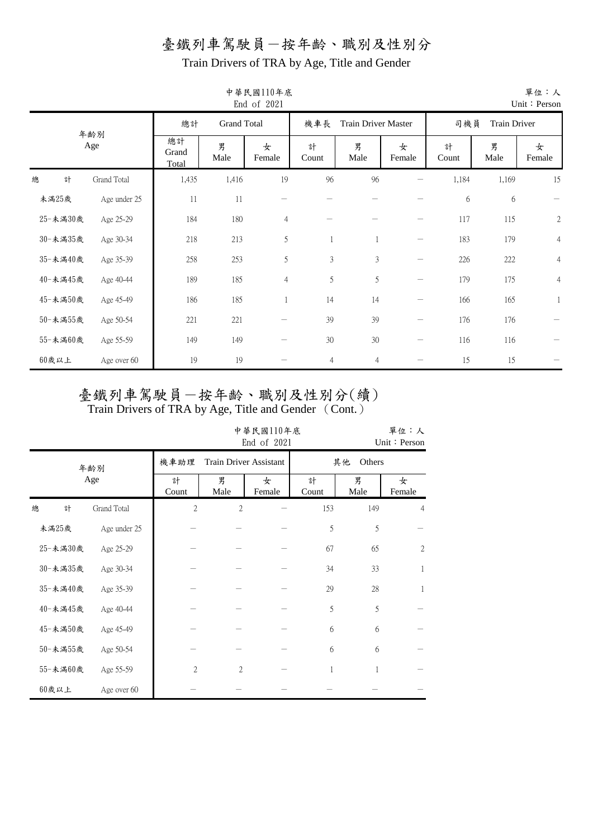Train Drivers of TRA by Age, Title and Gender

|          |              |                      |                    | End of 2021    |                |                     |                                |            |              | Unit: Person   |
|----------|--------------|----------------------|--------------------|----------------|----------------|---------------------|--------------------------------|------------|--------------|----------------|
|          |              | 總計                   | <b>Grand Total</b> |                | 機車長            | Train Driver Master |                                | 司機員        | Train Driver |                |
|          | 年齢別<br>Age   | 總計<br>Grand<br>Total | 男<br>Male          | 女<br>Female    | 計<br>Count     | 男<br>Male           | 女<br>Female                    | 計<br>Count | 男<br>Male    | 女<br>Female    |
| 計<br>總   | Grand Total  | 1,435                | 1,416              | 19             | 96             | 96                  |                                | 1,184      | 1,169        | 15             |
| 未滿25歲    | Age under 25 | 11                   | 11                 |                |                |                     |                                | 6          | 6            |                |
| 25-未滿30歲 | Age 25-29    | 184                  | 180                | 4              |                |                     |                                | 117        | 115          | $\sqrt{2}$     |
| 30-未滿35歲 | Age 30-34    | 218                  | 213                | 5              |                |                     | $\qquad \qquad$                | 183        | 179          | $\overline{4}$ |
| 35-未滿40歲 | Age 35-39    | 258                  | 253                | 5              | 3              | $\mathfrak{Z}$      | $\qquad \qquad -$              | 226        | 222          | $\overline{4}$ |
| 40-未滿45歲 | Age 40-44    | 189                  | 185                | $\overline{4}$ | 5              | 5                   | $\qquad \qquad \longleftarrow$ | 179        | 175          | $\overline{4}$ |
| 45-未滿50歲 | Age 45-49    | 186                  | 185                |                | 14             | 14                  |                                | 166        | 165          | $\mathbf{1}$   |
| 50-未滿55歲 | Age 50-54    | 221                  | 221                |                | 39             | 39                  | —                              | 176        | 176          |                |
| 55-未滿60歲 | Age 55-59    | 149                  | 149                |                | $30\,$         | 30                  | $\qquad \qquad$                | 116        | 116          |                |
| $60$ 歲以上 | Age over 60  | 19                   | 19                 |                | $\overline{4}$ | $\overline{4}$      |                                | 15         | 15           |                |

# 中華民國110年底

單位:人

|          |              |                |                               | 中華民國110年底<br>End of 2021 |              |                          | 單位:人<br>Unit: Person |  |
|----------|--------------|----------------|-------------------------------|--------------------------|--------------|--------------------------|----------------------|--|
|          | 年齢別          | 機車助理           | <b>Train Driver Assistant</b> |                          | 其他<br>Others |                          |                      |  |
|          | Age          | 計<br>Count     | 男<br>Male                     | 女<br>Female              | 計<br>Count   | 男<br>女<br>Male<br>Female |                      |  |
| 總<br>計   | Grand Total  | $\mathfrak{2}$ | $\mathfrak{2}$                |                          | 153          | 149                      | $\overline{4}$       |  |
| 未滿25歲    | Age under 25 |                |                               |                          | 5            | 5                        |                      |  |
| 25-未滿30歲 | Age 25-29    |                |                               |                          | 67           | 65                       | $\mathfrak{2}$       |  |
| 30-未満35歲 | Age 30-34    |                |                               |                          | 34           | 33                       | 1                    |  |
| 35-未滿40歲 | Age 35-39    |                |                               |                          | 29           | 28                       | 1                    |  |
| 40-未滿45歲 | Age 40-44    |                |                               |                          | 5            | 5                        |                      |  |
| 45-未滿50歲 | Age 45-49    |                |                               |                          | 6            | 6                        |                      |  |
| 50-未滿55歲 | Age 50-54    |                |                               |                          | 6            | 6                        |                      |  |
| 55-未滿60歲 | Age 55-59    | $\sqrt{2}$     | $\mathfrak{2}$                |                          | 1            | 1                        |                      |  |
| $60$ 歲以上 | Age over 60  |                |                               |                          |              |                          |                      |  |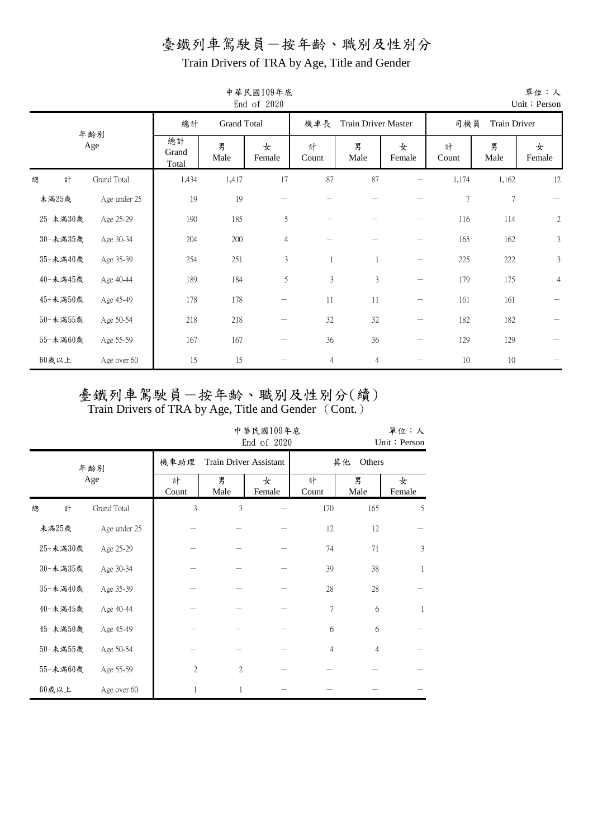Train Drivers of TRA by Age, Title and Gender

|          |              |                          |           | 中華民國109年底<br>End of 2020 |                |                            |                 |            |                     | 單位:人<br>Unit: Person |  |
|----------|--------------|--------------------------|-----------|--------------------------|----------------|----------------------------|-----------------|------------|---------------------|----------------------|--|
|          |              | <b>Grand Total</b><br>總計 |           |                          | 機車長            | <b>Train Driver Master</b> |                 |            | 司機員<br>Train Driver |                      |  |
|          | 年齢別<br>Age   | 總計<br>Grand<br>Total     | 男<br>Male | 女<br>Female              | 計<br>Count     | 男<br>Male                  | 女<br>Female     | 計<br>Count | 男<br>Male           | 女<br>Female          |  |
| 計<br>總   | Grand Total  | 1,434                    | 1,417     | 17                       | 87             | 87                         |                 | 1,174      | 1,162               | 12                   |  |
| 未滿25歲    | Age under 25 | 19                       | 19        |                          |                |                            |                 | $\tau$     | $7\phantom{.0}$     |                      |  |
| 25-未満30歲 | Age 25-29    | 190                      | 185       | 5                        |                |                            |                 | 116        | 114                 | $\sqrt{2}$           |  |
| 30-未満35歲 | Age 30-34    | 204                      | 200       | $\overline{4}$           |                |                            |                 | 165        | 162                 | 3                    |  |
| 35-未滿40歲 | Age 35-39    | 254                      | 251       | 3                        | 1              |                            |                 | 225        | 222                 | $\mathfrak{Z}$       |  |
| 40-未滿45歲 | Age 40-44    | 189                      | 184       | 5                        | $\mathfrak{Z}$ | $\mathfrak{Z}$             | $\qquad \qquad$ | 179        | 175                 | $\overline{4}$       |  |
| 45-未滿50歲 | Age 45-49    | 178                      | 178       |                          | 11             | 11                         |                 | 161        | 161                 |                      |  |
| 50-未満55歲 | Age 50-54    | 218                      | 218       |                          | 32             | $32\,$                     |                 | 182        | 182                 |                      |  |
| 55-未満60歲 | Age 55-59    | 167                      | 167       |                          | 36             | 36                         |                 | 129        | 129                 |                      |  |
| $60$ 歲以上 | Age over 60  | 15                       | 15        |                          | $\overline{4}$ | $\overline{4}$             |                 | 10         | 10                  |                      |  |

中華民國109年底

# 臺鐵列車駕駛員一按年齡、職別及性別分(續)

|          |              |            |                | 中華民國109年底<br>End of 2020 |                |                | 單位:人<br>Unit: Person |  |  |
|----------|--------------|------------|----------------|--------------------------|----------------|----------------|----------------------|--|--|
|          | 年齡別          | 機車助理       |                | Train Driver Assistant   |                | 其他             | Others               |  |  |
|          | Age          | 計<br>Count | 男<br>Male      | 女<br>Female              | 計<br>Count     | 男<br>Male      | 女<br>Female          |  |  |
| 總<br>計   | Grand Total  | 3          | 3              |                          | 170            | 165            | 5                    |  |  |
| 未滿25歲    | Age under 25 |            |                |                          | 12             | 12             |                      |  |  |
| 25-未滿30歲 | Age 25-29    |            |                |                          | 74             | 71             | 3                    |  |  |
| 30-未満35歲 | Age 30-34    |            |                |                          | 39             | 38             | 1                    |  |  |
| 35-未滿40歲 | Age 35-39    |            |                |                          | 28             | 28             |                      |  |  |
| 40-未滿45歲 | Age 40-44    |            |                |                          | 7              | 6              | 1                    |  |  |
| 45-未滿50歲 | Age 45-49    |            |                |                          | 6              | 6              |                      |  |  |
| 50-未滿55歲 | Age 50-54    |            |                |                          | $\overline{4}$ | $\overline{4}$ |                      |  |  |
| 55-未滿60歲 | Age 55-59    | 2          | $\mathfrak{2}$ |                          |                |                |                      |  |  |
| $60$ 歲以上 | Age over 60  |            | 1              |                          |                |                |                      |  |  |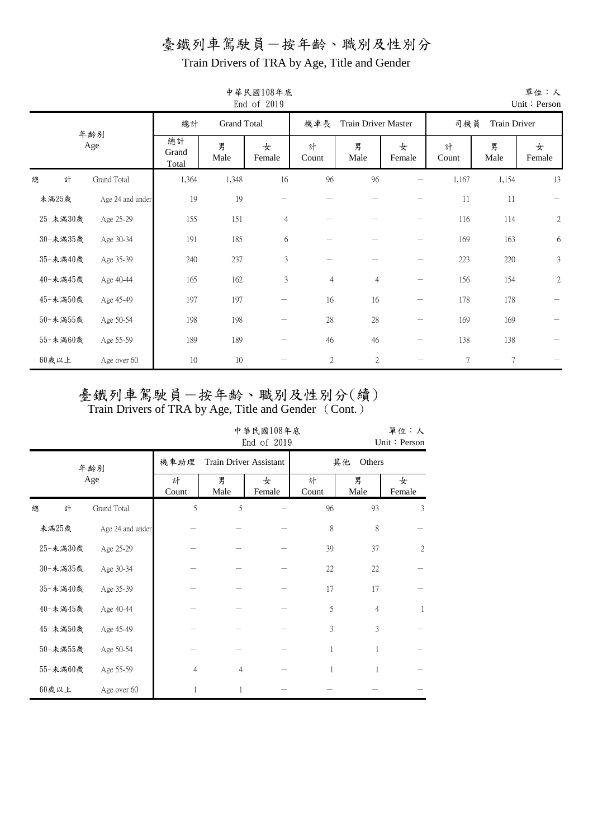Train Drivers of TRA by Age, Title and Gender

|          |                  |                      |                    | 中華民國108年底<br>End of 2019 |                |                            |                                |                |                | 單位:人<br>Unit: Person |
|----------|------------------|----------------------|--------------------|--------------------------|----------------|----------------------------|--------------------------------|----------------|----------------|----------------------|
|          |                  | 總計                   | <b>Grand Total</b> |                          | 機車長            | <b>Train Driver Master</b> |                                | 司機員            | Train Driver   |                      |
|          | 年齢別<br>Age       | 總計<br>Grand<br>Total | 男<br>Male          | 女<br>Female              | 計<br>Count     | 男<br>Male                  | 女<br>Female                    | 計<br>Count     | 男<br>Male      | 女<br>Female          |
| 計<br>總   | Grand Total      | 1,364                | 1,348              | 16                       | 96             | 96                         |                                | 1,167          | 1,154          | 13                   |
| 未滿25歲    | Age 24 and under | 19                   | 19                 |                          |                |                            |                                | 11             | 11             |                      |
| 25-未満30歲 | Age 25-29        | 155                  | 151                | $\overline{4}$           |                |                            |                                | 116            | 114            | $\sqrt{2}$           |
| 30-未満35歲 | Age 30-34        | 191                  | 185                | 6                        |                |                            |                                | 169            | 163            | 6                    |
| 35-未滿40歲 | Age 35-39        | 240                  | 237                | 3                        |                |                            |                                | 223            | 220            | 3                    |
| 40-未滿45歲 | Age 40-44        | 165                  | 162                | 3                        | $\overline{4}$ | $\overline{4}$             | $\qquad \qquad \longleftarrow$ | 156            | 154            | $\mathbf{2}$         |
| 45-未滿50歲 | Age 45-49        | 197                  | 197                |                          | 16             | 16                         |                                | 178            | 178            |                      |
| 50-未満55歲 | Age 50-54        | 198                  | 198                |                          | 28             | 28                         |                                | 169            | 169            |                      |
| 55-未満60歲 | Age 55-59        | 189                  | 189                |                          | 46             | 46                         |                                | 138            | 138            |                      |
| $60$ 歲以上 | Age over 60      | 10                   | 10                 |                          | $\overline{c}$ | $\mathfrak{2}$             |                                | $\overline{7}$ | $\overline{7}$ |                      |

# 中華民國108年底

# 臺鐵列車駕駛員一按年齡、職別及性別分(續)

|   |          |                  |            | 中華民國108年底<br>End of 2019<br>Unit: Person      |             |            |                          |              |  |  |  |  |  |  |
|---|----------|------------------|------------|-----------------------------------------------|-------------|------------|--------------------------|--------------|--|--|--|--|--|--|
|   |          | 年齡別              | 機車助理       | <b>Train Driver Assistant</b><br>Others<br>其他 |             |            |                          |              |  |  |  |  |  |  |
|   |          | Age              | 計<br>Count | 男<br>Male                                     | 女<br>Female | 計<br>Count | 男<br>女<br>Male<br>Female |              |  |  |  |  |  |  |
| 總 | 計        | Grand Total      | 5          | 5                                             |             | 96         | 93                       | 3            |  |  |  |  |  |  |
|   | 未滿25歲    | Age 24 and under |            |                                               |             | 8          | 8                        |              |  |  |  |  |  |  |
|   | 25-未滿30歲 | Age 25-29        |            |                                               |             | 39         | 37                       | $\mathbf{2}$ |  |  |  |  |  |  |
|   | 30-未滿35歲 | Age 30-34        |            |                                               |             | 22         | 22                       |              |  |  |  |  |  |  |
|   | 35-未滿40歲 | Age 35-39        |            |                                               |             | 17         | 17                       |              |  |  |  |  |  |  |
|   | 40-未滿45歲 | Age 40-44        |            |                                               |             | 5          | $\overline{4}$           | 1            |  |  |  |  |  |  |
|   | 45-未滿50歲 | Age 45-49        |            |                                               |             | 3          | 3                        |              |  |  |  |  |  |  |
|   | 50-未滿55歲 | Age 50-54        |            |                                               |             | 1          |                          |              |  |  |  |  |  |  |
|   | 55-未滿60歲 | Age 55-59        | 4          | $\overline{4}$                                |             | 1          |                          |              |  |  |  |  |  |  |
|   | $60$ 歲以上 | Age over 60      | 1          | 1                                             |             |            |                          |              |  |  |  |  |  |  |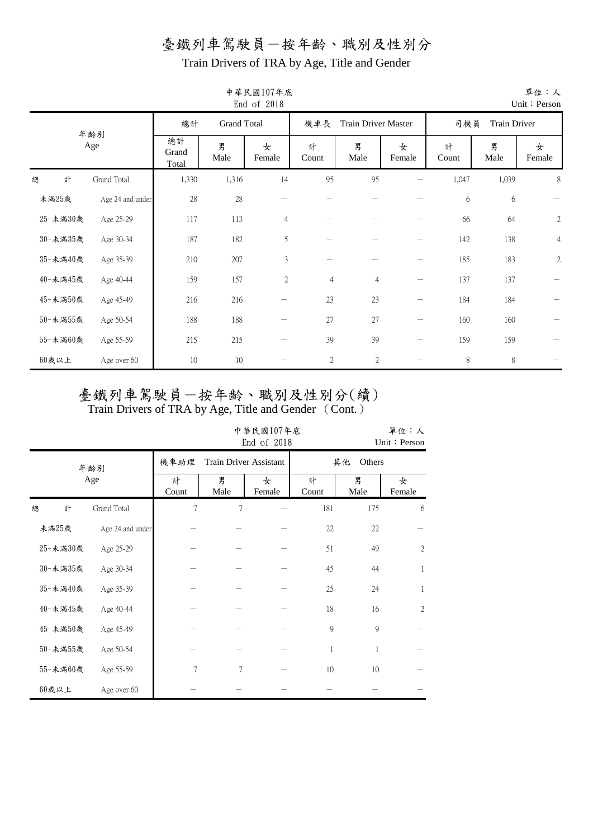Train Drivers of TRA by Age, Title and Gender

|          |                  |                                                               |           | 中華民國107年底<br>End of 2018 |                          |                |                 |                     |           | 單位:人<br>Unit: Person |  |
|----------|------------------|---------------------------------------------------------------|-----------|--------------------------|--------------------------|----------------|-----------------|---------------------|-----------|----------------------|--|
|          | 年齡別              | 總計<br><b>Grand Total</b><br>機車長<br><b>Train Driver Master</b> |           |                          |                          |                |                 | 司機員<br>Train Driver |           |                      |  |
|          | Age              | 總計<br>Grand<br>Total                                          | 男<br>Male | 女<br>Female              | 計<br>Count               | 男<br>Male      | 女<br>Female     | 計<br>Count          | 男<br>Male | 女<br>Female          |  |
| 總<br>計   | Grand Total      | 1,330                                                         | 1,316     | 14                       | 95                       | 95             |                 | 1,047               | 1,039     | 8                    |  |
| 未滿25歲    | Age 24 and under | $28\,$                                                        | 28        |                          |                          |                |                 | 6                   | 6         |                      |  |
| 25-未満30歲 | Age 25-29        | 117                                                           | 113       | $\overline{4}$           |                          |                |                 | 66                  | 64        | $\sqrt{2}$           |  |
| 30-未満35歲 | Age 30-34        | 187                                                           | 182       | 5                        |                          |                |                 | 142                 | 138       | $\overline{4}$       |  |
| 35-未滿40歲 | Age 35-39        | 210                                                           | 207       | 3                        | $\overline{\phantom{0}}$ |                | $\qquad \qquad$ | 185                 | 183       | $\sqrt{2}$           |  |
| 40-未滿45歲 | Age 40-44        | 159                                                           | 157       | $\mathbf{2}$             | $\overline{4}$           | $\overline{4}$ | $\qquad \qquad$ | 137                 | 137       |                      |  |
| 45-未滿50歲 | Age 45-49        | 216                                                           | 216       |                          | 23                       | 23             |                 | 184                 | 184       |                      |  |
| 50-未満55歲 | Age 50-54        | 188                                                           | 188       | —                        | 27                       | 27             | $\qquad \qquad$ | 160                 | 160       |                      |  |
| 55-未満60歲 | Age 55-59        | 215                                                           | 215       |                          | 39                       | 39             | $\qquad \qquad$ | 159                 | 159       |                      |  |
| 60歲以上    | Age over 60      | 10                                                            | 10        |                          | $\sqrt{2}$               | $\mathfrak{2}$ |                 | 8                   | 8         |                      |  |

## 中華民國107年底

# 臺鐵列車駕駛員一按年齡、職別及性別分(續)

|          |                  |                | 中華民國107年底<br>End of 2018      |             | 單位:人<br>Unit: Person |           |                |
|----------|------------------|----------------|-------------------------------|-------------|----------------------|-----------|----------------|
|          | 年齢別              | 機車助理           | <b>Train Driver Assistant</b> | 其他          | Others               |           |                |
|          | Age              | 計<br>Count     | 男<br>Male                     | 女<br>Female | 計<br>Count           | 男<br>Male | 女<br>Female    |
| 總<br>計   | Grand Total      | $\overline{7}$ | 7                             |             | 181                  | 175       | 6              |
| 未滿25歲    | Age 24 and under |                |                               |             | 22                   | 22        |                |
| 25-未滿30歲 | Age 25-29        |                |                               |             | 51                   | 49        | $\overline{2}$ |
| 30-未滿35歲 | Age 30-34        |                |                               |             | 45                   | 44        | $\mathbf{1}$   |
| 35-未滿40歲 | Age 35-39        |                |                               |             | 25                   | 24        | 1              |
| 40-未滿45歲 | Age 40-44        |                |                               |             | 18                   | 16        | $\overline{2}$ |
| 45-未滿50歲 | Age 45-49        |                |                               |             | 9                    | 9         |                |
| 50-未滿55歲 | Age 50-54        |                |                               |             | $\mathbf{1}$         | 1         |                |
| 55-未満60歲 | Age 55-59        | 7              | 7                             |             | 10                   | $10\,$    |                |
| $60$ 歲以上 | Age over 60      |                |                               |             |                      |           |                |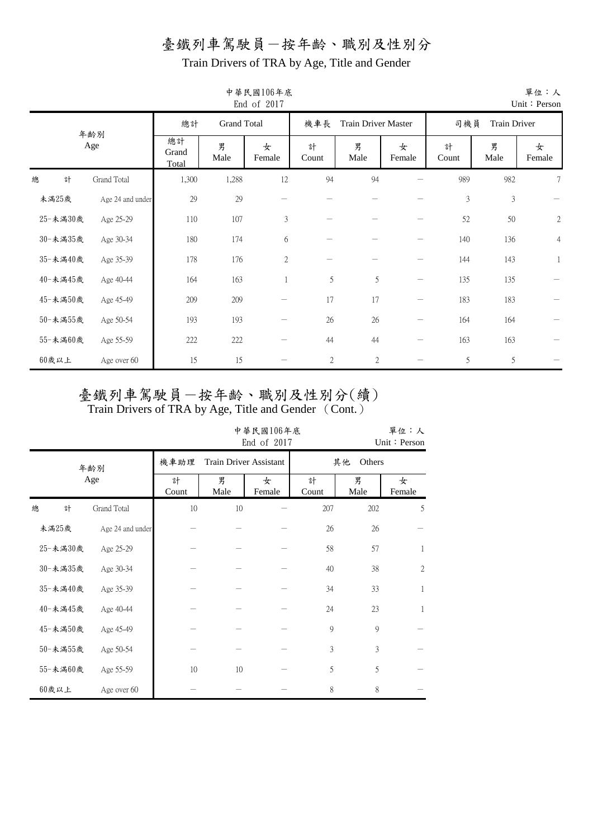Train Drivers of TRA by Age, Title and Gender

|          |                  |                      |                    | End of 2017    |            |                     |                 |            |                | Unit: Person   |
|----------|------------------|----------------------|--------------------|----------------|------------|---------------------|-----------------|------------|----------------|----------------|
|          |                  | 總計                   | <b>Grand Total</b> |                | 機車長        | Train Driver Master |                 | 司機員        | Train Driver   |                |
|          | 年齡別<br>Age       | 總計<br>Grand<br>Total | 男<br>Male          | 女<br>Female    | 計<br>Count | 男<br>Male           | 女<br>Female     | 計<br>Count | 男<br>Male      | 女<br>Female    |
| 總<br>計   | Grand Total      | 1,300                | 1,288              | 12             | 94         | 94                  |                 | 989        | 982            | 7              |
| 未滿25歲    | Age 24 and under | 29                   | 29                 |                |            |                     |                 | 3          | $\mathfrak{Z}$ |                |
| 25-未満30歲 | Age 25-29        | 110                  | 107                | 3              |            |                     |                 | 52         | 50             | $\sqrt{2}$     |
| 30-未満35歲 | Age 30-34        | 180                  | 174                | 6              |            |                     |                 | 140        | 136            | $\overline{4}$ |
| 35-未滿40歲 | Age 35-39        | 178                  | 176                | $\overline{2}$ |            |                     |                 | 144        | 143            | $\mathbf{1}$   |
| 40-未滿45歲 | Age 40-44        | 164                  | 163                | $\mathbf{1}$   | 5          | 5                   | $\qquad \qquad$ | 135        | 135            |                |
| 45-未滿50歲 | Age 45-49        | 209                  | 209                |                | 17         | 17                  |                 | 183        | 183            |                |
| 50-未滿55歲 | Age 50-54        | 193                  | 193                |                | 26         | 26                  |                 | 164        | 164            |                |
| 55-未滿60歲 | Age 55-59        | 222                  | 222                |                | 44         | 44                  |                 | 163        | 163            |                |
| $60$ 歲以上 | Age over 60      | 15                   | 15                 |                | $\sqrt{2}$ | $\sqrt{2}$          |                 | 5          | 5              |                |

# 中華民國106年底

|   |          |                  |            |                                                | 中華民國106年底<br>End of 2017 |     |              | 單位:人<br>Unit: Person |  |  |  |
|---|----------|------------------|------------|------------------------------------------------|--------------------------|-----|--------------|----------------------|--|--|--|
|   |          | 年齢別              | 機車助理       | <b>Train Driver Assistant</b>                  |                          |     | Others<br>其他 |                      |  |  |  |
|   |          | Age              | 計<br>Count | 男<br>女<br>計<br>Male<br>Male<br>Female<br>Count |                          |     |              |                      |  |  |  |
| 總 | 計        | Grand Total      | 10         | 10                                             |                          | 207 | 202          | 5                    |  |  |  |
|   | 未満25歲    | Age 24 and under |            |                                                |                          | 26  | 26           |                      |  |  |  |
|   | 25-未満30歲 | Age 25-29        |            |                                                |                          | 58  | 57           | $\mathbf{1}$         |  |  |  |
|   | 30-未滿35歲 | Age 30-34        |            |                                                |                          | 40  | 38           | $\sqrt{2}$           |  |  |  |
|   | 35-未滿40歲 | Age 35-39        |            |                                                |                          | 34  | 33           | $\mathbf{1}$         |  |  |  |
|   | 40-未滿45歲 | Age 40-44        |            |                                                |                          | 24  | 23           | $\mathbf{1}$         |  |  |  |
|   | 45-未滿50歲 | Age 45-49        |            |                                                |                          | 9   | 9            |                      |  |  |  |
|   | 50-未滿55歲 | Age 50-54        |            |                                                |                          | 3   | 3            |                      |  |  |  |
|   | 55-未滿60歲 | Age 55-59        | 10         | 10                                             |                          | 5   | 5            |                      |  |  |  |
|   | 60歲以上    | Age over 60      |            |                                                |                          | 8   | 8            |                      |  |  |  |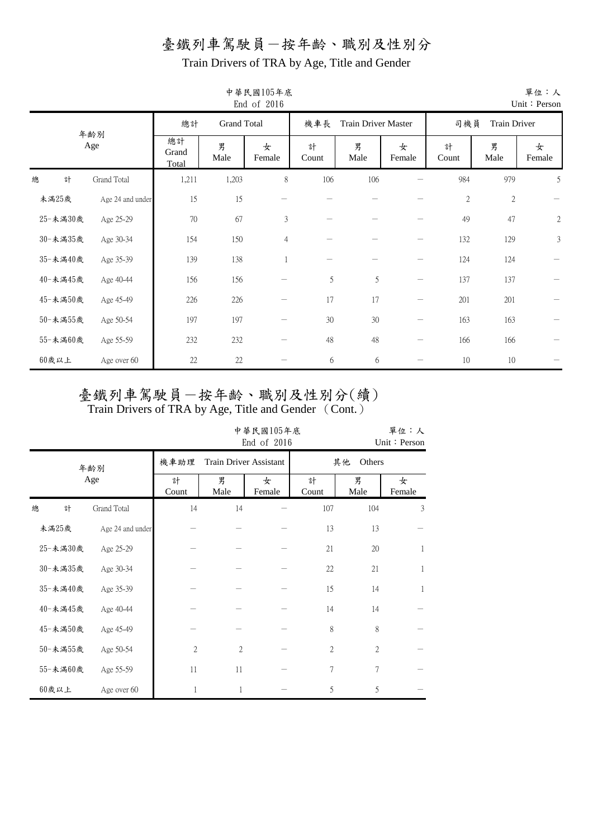Train Drivers of TRA by Age, Title and Gender

|          |                  |                      |                    | End of 2016    |            |                     |                   |            |              | Unit: Person |
|----------|------------------|----------------------|--------------------|----------------|------------|---------------------|-------------------|------------|--------------|--------------|
|          |                  | 總計                   | <b>Grand Total</b> |                | 機車長        | Train Driver Master |                   | 司機員        | Train Driver |              |
|          | 年齡別<br>Age       | 總計<br>Grand<br>Total | 男<br>Male          | 女<br>Female    | 計<br>Count | 男<br>Male           | 女<br>Female       | 計<br>Count | 男<br>Male    | 女<br>Female  |
| 總<br>計   | Grand Total      | 1,211                | 1,203              | 8              | 106        | 106                 |                   | 984        | 979          | 5            |
| 未滿25歲    | Age 24 and under | 15                   | 15                 |                |            |                     |                   | $\sqrt{2}$ | $\sqrt{2}$   |              |
| 25-未満30歲 | Age 25-29        | $70\,$               | 67                 | 3              |            |                     |                   | 49         | 47           | $\sqrt{2}$   |
| 30-未満35歲 | Age 30-34        | 154                  | 150                | $\overline{4}$ |            |                     |                   | 132        | 129          | 3            |
| 35-未滿40歲 | Age 35-39        | 139                  | 138                |                |            |                     |                   | 124        | 124          |              |
| 40-未滿45歲 | Age 40-44        | 156                  | 156                |                | 5          | 5                   | $\qquad \qquad$   | 137        | 137          |              |
| 45-未滿50歲 | Age 45-49        | 226                  | 226                |                | 17         | 17                  | $\qquad \qquad -$ | 201        | 201          |              |
| 50-未滿55歲 | Age 50-54        | 197                  | 197                |                | 30         | 30                  |                   | 163        | 163          |              |
| 55-未滿60歲 | Age 55-59        | 232                  | 232                |                | 48         | 48                  | $\qquad \qquad$   | 166        | 166          |              |
| $60$ 歲以上 | Age over 60      | 22                   | 22                 |                | 6          | 6                   |                   | 10         | 10           |              |

中華民國105年底

|          |                  |                | 中華民國105年底<br>End of 2016<br>Unit: Person |                               |                |                          |   |  |  |  |  |  |
|----------|------------------|----------------|------------------------------------------|-------------------------------|----------------|--------------------------|---|--|--|--|--|--|
|          | 年齡別              | 機車助理           |                                          | <b>Train Driver Assistant</b> |                | 其他<br>Others             |   |  |  |  |  |  |
|          | Age              | 計<br>Count     | 男<br>Male                                | 女<br>Female                   | 計<br>Count     | 男<br>女<br>Male<br>Female |   |  |  |  |  |  |
| 總<br>計   | Grand Total      | 14             | 14                                       |                               | 107            | 104                      | 3 |  |  |  |  |  |
| 未滿25歲    | Age 24 and under |                |                                          |                               | 13             | 13                       |   |  |  |  |  |  |
| 25-未満30歲 | Age 25-29        |                |                                          |                               | 21             | $20\,$                   | 1 |  |  |  |  |  |
| 30-未滿35歲 | Age 30-34        |                |                                          |                               | 22             | 21                       | 1 |  |  |  |  |  |
| 35-未滿40歲 | Age 35-39        |                |                                          |                               | 15             | 14                       | 1 |  |  |  |  |  |
| 40-未滿45歲 | Age 40-44        |                |                                          |                               | 14             | 14                       |   |  |  |  |  |  |
| 45-未滿50歲 | Age 45-49        |                |                                          |                               | 8              | 8                        |   |  |  |  |  |  |
| 50-未滿55歲 | Age 50-54        | $\overline{c}$ | $\overline{2}$                           |                               | $\overline{c}$ | $\overline{2}$           |   |  |  |  |  |  |
| 55-未滿60歲 | Age 55-59        | 11             | 11                                       |                               | 7              | 7                        |   |  |  |  |  |  |
| $60$ 歲以上 | Age over 60      | 1              | 1                                        |                               | 5              | 5                        |   |  |  |  |  |  |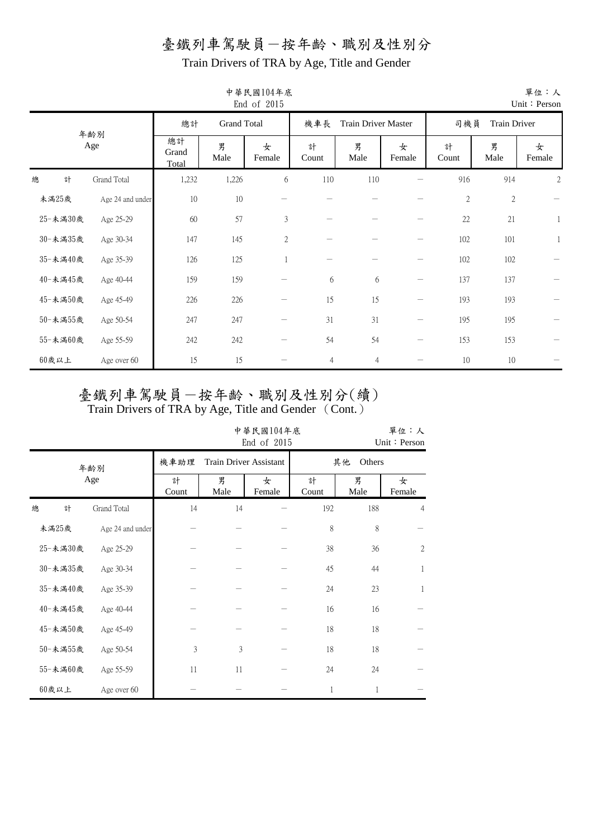Train Drivers of TRA by Age, Title and Gender

|          |                  |                      |                    | End of 2015  |                |                     |                   |            |                | Unit: Person   |
|----------|------------------|----------------------|--------------------|--------------|----------------|---------------------|-------------------|------------|----------------|----------------|
|          |                  | 總計                   | <b>Grand Total</b> |              | 機車長            | Train Driver Master |                   | 司機員        | Train Driver   |                |
|          | 年齢別<br>Age       | 總計<br>Grand<br>Total | 男<br>Male          | 女<br>Female  | 計<br>Count     | 男<br>Male           | 女<br>Female       | 計<br>Count | 男<br>Male      | 女<br>Female    |
| 總<br>計   | Grand Total      | 1,232                | 1,226              | 6            | 110            | 110                 |                   | 916        | 914            | $\mathfrak{2}$ |
| 未満25歲    | Age 24 and under | $10\,$               | 10                 |              |                |                     |                   | $\sqrt{2}$ | $\mathfrak{2}$ |                |
| 25-未満30歲 | Age 25-29        | 60                   | 57                 | 3            |                |                     |                   | 22         | 21             | $\mathbf{1}$   |
| 30-未満35歲 | Age 30-34        | 147                  | 145                | $\mathbf{2}$ |                |                     |                   | 102        | 101            | -1             |
| 35-未滿40歲 | Age 35-39        | 126                  | 125                | 1            |                |                     |                   | 102        | 102            |                |
| 40-未滿45歲 | Age 40-44        | 159                  | 159                |              | 6              | 6                   | $\qquad \qquad -$ | 137        | 137            |                |
| 45-未滿50歲 | Age 45-49        | 226                  | 226                |              | 15             | 15                  |                   | 193        | 193            |                |
| 50-未満55歲 | Age 50-54        | 247                  | 247                |              | 31             | 31                  | $\qquad \qquad$   | 195        | 195            |                |
| 55-未満60歲 | Age 55-59        | 242                  | 242                |              | 54             | 54                  | $\qquad \qquad -$ | 153        | 153            |                |
| $60$ 歲以上 | Age over 60      | 15                   | 15                 |              | $\overline{4}$ | $\overline{4}$      |                   | 10         | 10             |                |

## 中華民國104年底

|   |          |                  |                                             |           | 中華民國104年底<br>End of 2015 |            |           | 單位:人<br>Unit: Person |  |  |
|---|----------|------------------|---------------------------------------------|-----------|--------------------------|------------|-----------|----------------------|--|--|
|   |          | 年齡別              | 機車助理<br><b>Train Driver Assistant</b><br>其他 |           |                          |            |           | Others               |  |  |
|   |          | Age              | 計<br>Count                                  | 男<br>Male | 女<br>Female              | 計<br>Count | 男<br>Male | 女<br>Female          |  |  |
| 總 | 計        | Grand Total      | 14                                          | 14        |                          | 192        | 188       | $\overline{4}$       |  |  |
|   | 未滿25歲    | Age 24 and under |                                             |           |                          | 8          | 8         |                      |  |  |
|   | 25-未滿30歲 | Age 25-29        |                                             |           |                          | 38         | 36        | $\mathfrak{2}$       |  |  |
|   | 30-未満35歲 | Age 30-34        |                                             |           |                          | 45         | 44        | 1                    |  |  |
|   | 35-未滿40歲 | Age 35-39        |                                             |           |                          | 24         | 23        | 1                    |  |  |
|   | 40-未滿45歲 | Age 40-44        |                                             |           |                          | 16         | 16        |                      |  |  |
|   | 45-未滿50歲 | Age 45-49        |                                             |           |                          | 18         | 18        |                      |  |  |
|   | 50-未滿55歲 | Age 50-54        | 3                                           | 3         |                          | 18         | 18        |                      |  |  |
|   | 55-未滿60歲 | Age 55-59        | 11                                          | 11        |                          | 24         | 24        |                      |  |  |
|   | $60$ 歲以上 | Age over 60      |                                             |           |                          | 1          | 1         |                      |  |  |

單位:人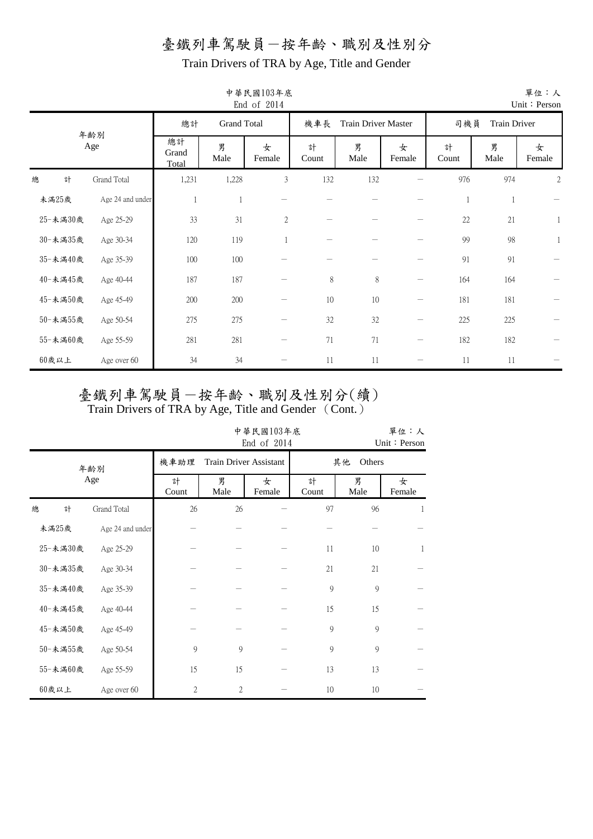Train Drivers of TRA by Age, Title and Gender

|          |                  |                      |                    | 中華民國103年底<br>End of 2014 |            |                            |                   |            |              | 單位:人<br>Unit: Person |
|----------|------------------|----------------------|--------------------|--------------------------|------------|----------------------------|-------------------|------------|--------------|----------------------|
|          | 年齡別              | 總計                   | <b>Grand Total</b> |                          | 機車長        | <b>Train Driver Master</b> |                   | 司機員        | Train Driver |                      |
|          | Age              | 總計<br>Grand<br>Total | 男<br>Male          | 女<br>Female              | 計<br>Count | 男<br>Male                  | 女<br>Female       | 計<br>Count | 男<br>Male    | 女<br>Female          |
| 總<br>計   | Grand Total      | 1,231                | 1,228              | 3                        | 132        | 132                        |                   | 976        | 974          | $\mathfrak{2}$       |
| 未滿25歲    | Age 24 and under |                      | 1                  |                          |            |                            |                   | 1          | $\mathbf{1}$ |                      |
| 25-未満30歲 | Age 25-29        | 33                   | 31                 | $\mathbf{2}$             |            |                            |                   | $22\,$     | 21           | $\mathbf{1}$         |
| 30-未満35歲 | Age 30-34        | 120                  | 119                |                          |            |                            |                   | 99         | 98           |                      |
| 35-未滿40歲 | Age 35-39        | 100                  | 100                |                          |            |                            |                   | 91         | 91           |                      |
| 40-未滿45歲 | Age 40-44        | 187                  | 187                |                          | $8\,$      | 8                          | $\qquad \qquad -$ | 164        | 164          |                      |
| 45-未滿50歲 | Age 45-49        | 200                  | 200                |                          | $10\,$     | $10\,$                     |                   | 181        | 181          |                      |
| 50-未満55歲 | Age 50-54        | 275                  | 275                |                          | 32         | 32                         |                   | 225        | 225          |                      |
| 55-未滿60歲 | Age 55-59        | 281                  | 281                |                          | $71\,$     | 71                         | $\qquad \qquad -$ | 182        | 182          |                      |
| $60$ 歲以上 | Age over 60      | 34                   | 34                 |                          | 11         | 11                         |                   | 11         | 11           |                      |

# 臺鐵列車駕駛員一按年齡、職別及性別分(續)

|   |          |                  | 單位:人<br>中華民國103年底<br>End of 2014<br>Unit: Person |                               |             |            |             |             |  |  |  |  |  |
|---|----------|------------------|--------------------------------------------------|-------------------------------|-------------|------------|-------------|-------------|--|--|--|--|--|
|   |          | 年齢別              | 機車助理                                             | <b>Train Driver Assistant</b> |             |            | 其他          | Others      |  |  |  |  |  |
|   |          | Age              | 計<br>Count                                       | 男<br>Male                     | 女<br>Female | 計<br>Count | 男<br>Male   | 女<br>Female |  |  |  |  |  |
| 總 | 計        | Grand Total      | 26                                               | 26                            |             | 97         | 96          | 1           |  |  |  |  |  |
|   | 未滿25歲    | Age 24 and under |                                                  |                               |             |            |             |             |  |  |  |  |  |
|   | 25-未満30歲 | Age 25-29        |                                                  |                               |             | 11         | 10          | 1           |  |  |  |  |  |
|   | 30-未満35歲 | Age 30-34        |                                                  |                               |             | 21         | 21          |             |  |  |  |  |  |
|   | 35-未滿40歲 | Age 35-39        |                                                  |                               |             | 9          | 9           |             |  |  |  |  |  |
|   | 40-未滿45歲 | Age 40-44        |                                                  |                               |             | 15         | 15          |             |  |  |  |  |  |
|   | 45-未滿50歲 | Age 45-49        |                                                  |                               |             | 9          | 9           |             |  |  |  |  |  |
|   | 50-未滿55歲 | Age 50-54        | 9                                                | 9                             |             | 9          | $\mathbf Q$ |             |  |  |  |  |  |
|   | 55-未満60歲 | Age 55-59        | 15                                               | 15                            |             | 13         | 13          |             |  |  |  |  |  |
|   | $60$ 歲以上 | Age over 60      | $\overline{2}$                                   | $\mathfrak{2}$                |             | 10         | 10          |             |  |  |  |  |  |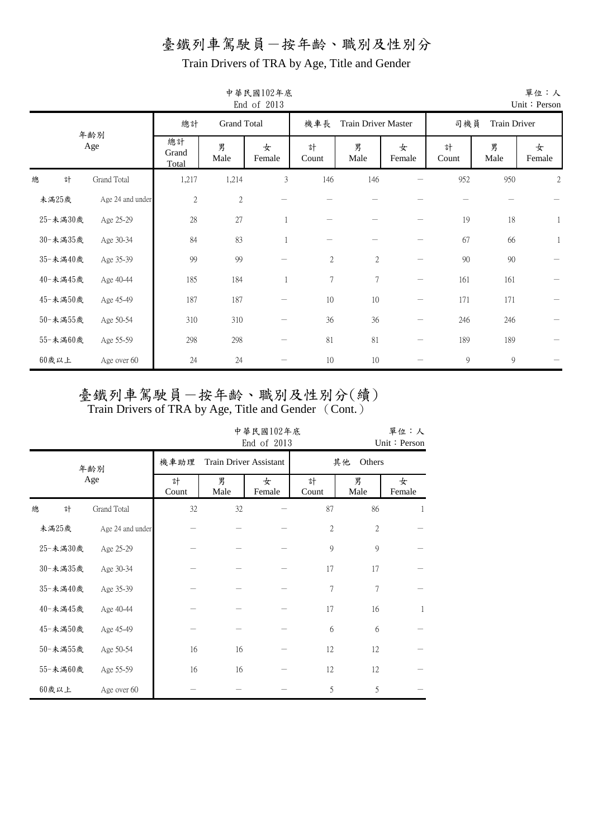Train Drivers of TRA by Age, Title and Gender

|          |                  |                      |                    | End of 2013 |                  |                     |                 |            |              | Unit: Person   |
|----------|------------------|----------------------|--------------------|-------------|------------------|---------------------|-----------------|------------|--------------|----------------|
|          |                  | 總計                   | <b>Grand Total</b> |             | 機車長              | Train Driver Master |                 | 司機員        | Train Driver |                |
|          | 年齢別<br>Age       | 總計<br>Grand<br>Total | 男<br>Male          | 女<br>Female | 計<br>Count       | 男<br>Male           | 女<br>Female     | 計<br>Count | 男<br>Male    | 女<br>Female    |
| 計<br>總   | Grand Total      | 1,217                | 1,214              | 3           | 146              | 146                 |                 | 952        | 950          | $\overline{2}$ |
| 未滿25歲    | Age 24 and under | $\sqrt{2}$           | $\mathbf{2}$       |             |                  |                     |                 |            |              |                |
| 25-未満30歲 | Age 25-29        | $28\,$               | 27                 | 1           |                  |                     |                 | 19         | 18           | $\mathbf{1}$   |
| 30-未滿35歲 | Age 30-34        | 84                   | 83                 |             |                  |                     |                 | 67         | 66           | $\mathbf{1}$   |
| 35-未滿40歲 | Age 35-39        | 99                   | 99                 |             | $\sqrt{2}$       | $\overline{2}$      |                 | 90         | $90\,$       |                |
| 40-未滿45歲 | Age 40-44        | 185                  | 184                |             | $\boldsymbol{7}$ | $\overline{7}$      | $\qquad \qquad$ | 161        | 161          |                |
| 45-未滿50歲 | Age 45-49        | 187                  | 187                |             | 10               | 10                  |                 | 171        | 171          |                |
| 50-未滿55歲 | Age 50-54        | 310                  | 310                |             | 36               | 36                  |                 | 246        | 246          |                |
| 55-未滿60歲 | Age 55-59        | 298                  | 298                |             | 81               | 81                  | $\qquad \qquad$ | 189        | 189          |                |
| $60$ 歲以上 | Age over 60      | 24                   | 24                 |             | 10               | 10                  |                 | 9          | 9            |                |

# 中華民國102年底

|          |   |                  |            |                               | 單位:人<br>Unit: Person |                |              |             |  |
|----------|---|------------------|------------|-------------------------------|----------------------|----------------|--------------|-------------|--|
|          |   | 年齡別              | 機車助理       | <b>Train Driver Assistant</b> |                      |                | 其他<br>Others |             |  |
|          |   | Age              | 計<br>Count | 男<br>Male                     | 女<br>Female          | 計<br>Count     | 男<br>Male    | 女<br>Female |  |
| 總        | 計 | Grand Total      | 32         | 32                            |                      | 87             | 86           | 1           |  |
| 未滿25歲    |   | Age 24 and under |            |                               |                      | $\overline{2}$ | 2            |             |  |
| 25-未滿30歲 |   | Age 25-29        |            |                               |                      | 9              | 9            |             |  |
| 30-未滿35歲 |   | Age 30-34        |            |                               |                      | 17             | 17           |             |  |
| 35-未滿40歲 |   | Age 35-39        |            |                               |                      | 7              | 7            |             |  |
| 40-未滿45歲 |   | Age 40-44        |            |                               |                      | 17             | 16           | 1           |  |
| 45-未滿50歲 |   | Age 45-49        |            |                               |                      | 6              | 6            |             |  |
| 50-未滿55歲 |   | Age 50-54        | 16         | 16                            |                      | 12             | 12           |             |  |
| 55-未滿60歲 |   | Age 55-59        | 16         | 16                            |                      | 12             | 12           |             |  |
| $60$ 歲以上 |   | Age over 60      |            |                               |                      | 5              | 5            |             |  |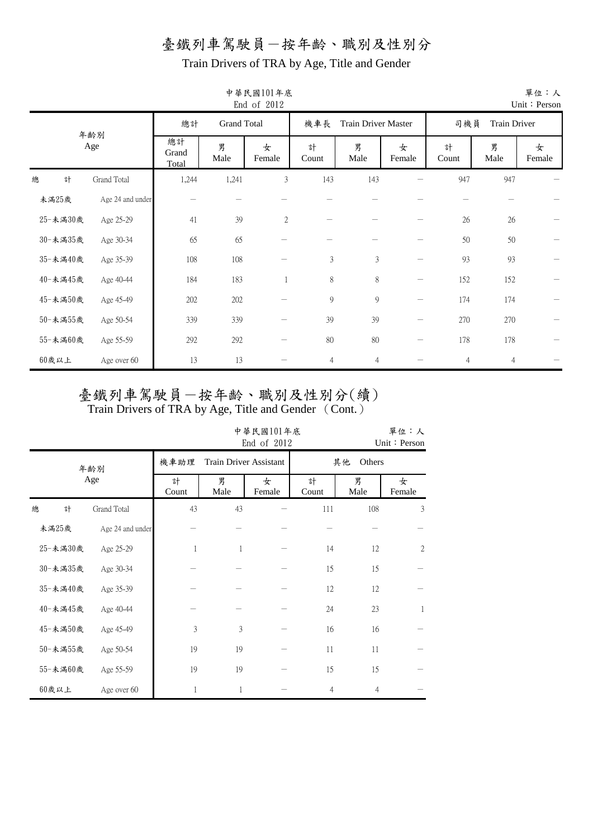Train Drivers of TRA by Age, Title and Gender

|          |                  |                      | End of 2012        |             |                |                            |                   | Unit: Person   |                |             |
|----------|------------------|----------------------|--------------------|-------------|----------------|----------------------------|-------------------|----------------|----------------|-------------|
|          | 年齢別              | 總計                   | <b>Grand Total</b> |             | 機車長            | <b>Train Driver Master</b> |                   | 司機員            | Train Driver   |             |
|          | Age              | 總計<br>Grand<br>Total | 男<br>Male          | 女<br>Female | 計<br>Count     | 男<br>Male                  | 女<br>Female       | 計<br>Count     | 男<br>Male      | 女<br>Female |
| 計<br>總   | Grand Total      | 1,244                | 1,241              | 3           | 143            | 143                        |                   | 947            | 947            |             |
| 未滿25歲    | Age 24 and under |                      |                    |             |                |                            |                   |                |                |             |
| 25-未満30歲 | Age 25-29        | 41                   | 39                 | 2           |                |                            |                   | 26             | 26             |             |
| 30-未満35歲 | Age 30-34        | 65                   | 65                 |             |                |                            |                   | 50             | $50\,$         |             |
| 35-未滿40歲 | Age 35-39        | 108                  | 108                |             | 3              | $\mathfrak{Z}$             |                   | 93             | 93             |             |
| 40-未滿45歲 | Age 40-44        | 184                  | 183                |             | $8\,$          | 8                          | $\qquad \qquad -$ | 152            | 152            |             |
| 45-未滿50歲 | Age 45-49        | 202                  | 202                |             | $\overline{9}$ | 9                          | $\qquad \qquad -$ | 174            | 174            |             |
| 50-未滿55歲 | Age 50-54        | 339                  | 339                |             | 39             | 39                         |                   | 270            | 270            |             |
| 55-未滿60歲 | Age 55-59        | 292                  | 292                |             | 80             | 80                         |                   | 178            | 178            |             |
| $60$ 歲以上 | Age over 60      | 13                   | 13                 |             | 4              | $\overline{4}$             |                   | $\overline{4}$ | $\overline{4}$ |             |

# 中華民國101年底

單位:人

# 臺鐵列車駕駛員一按年齡、職別及性別分(續)

|   |          |                  |            |                               | 中華民國101年底<br>End of 2012 |            |                | 單位:人<br>Unit: Person |
|---|----------|------------------|------------|-------------------------------|--------------------------|------------|----------------|----------------------|
|   |          | 年齢別              | 機車助理       | <b>Train Driver Assistant</b> |                          |            | Others<br>其他   |                      |
|   |          | Age              | 計<br>Count | 男<br>Male                     | 女<br>Female              | 計<br>Count | 男<br>Male      | 女<br>Female          |
| 總 | 計        | Grand Total      | 43         | 43                            |                          | 111        | 108            | 3                    |
|   | 未滿25歲    | Age 24 and under |            |                               |                          |            |                |                      |
|   | 25-未滿30歲 | Age 25-29        | 1          | 1                             |                          | 14         | 12             | $\overline{c}$       |
|   | 30-未滿35歲 | Age 30-34        |            |                               |                          | 15         | 15             |                      |
|   | 35-未滿40歲 | Age 35-39        |            |                               |                          | 12         | 12             |                      |
|   | 40-未滿45歲 | Age 40-44        |            |                               |                          | 24         | 23             | 1                    |
|   | 45-未滿50歲 | Age 45-49        | 3          | 3                             |                          | 16         | 16             |                      |
|   | 50-未滿55歲 | Age 50-54        | 19         | 19                            |                          | 11         | 11             |                      |
|   | 55-未滿60歲 | Age 55-59        | 19         | 19                            |                          | 15         | 15             |                      |
|   | $60$ 歲以上 | Age over 60      | 1          | 1                             |                          | 4          | $\overline{4}$ |                      |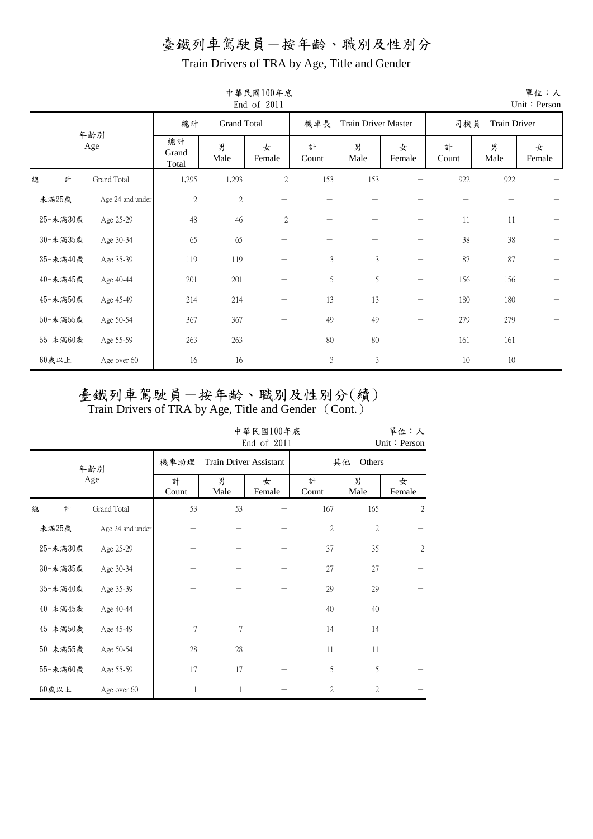Train Drivers of TRA by Age, Title and Gender

|          |   |                  |                      |                    | 中華民國100年底<br>End of 2011 |                |                            |                                 |            |              | 單位:人<br>Unit: Person |
|----------|---|------------------|----------------------|--------------------|--------------------------|----------------|----------------------------|---------------------------------|------------|--------------|----------------------|
|          |   | 年齡別              | 總計                   | <b>Grand Total</b> |                          | 機車長            | <b>Train Driver Master</b> |                                 | 司機員        | Train Driver |                      |
|          |   | Age              | 總計<br>Grand<br>Total | 男<br>Male          | 女<br>Female              | 計<br>Count     | 男<br>Male                  | 女<br>Female                     | 計<br>Count | 男<br>Male    | 女<br>Female          |
| 總        | 計 | Grand Total      | 1,295                | 1,293              | 2                        | 153            | 153                        |                                 | 922        | 922          |                      |
| 未滿25歲    |   | Age 24 and under | $\sqrt{2}$           | $2\,$              |                          |                |                            |                                 |            |              |                      |
| 25-未満30歲 |   | Age 25-29        | 48                   | 46                 | $\mathbf{2}$             |                |                            |                                 | 11         | 11           |                      |
| 30-未満35歲 |   | Age 30-34        | 65                   | 65                 |                          |                |                            |                                 | 38         | 38           |                      |
| 35-未滿40歲 |   | Age 35-39        | 119                  | 119                |                          | $\mathfrak{Z}$ | 3                          |                                 | 87         | 87           |                      |
| 40-未滿45歲 |   | Age 40-44        | 201                  | 201                |                          | 5              | 5                          | $\hspace{0.1mm}-\hspace{0.1mm}$ | 156        | 156          |                      |
| 45-未滿50歲 |   | Age 45-49        | 214                  | 214                |                          | 13             | 13                         |                                 | 180        | 180          |                      |
| 50-未満55歲 |   | Age 50-54        | 367                  | 367                |                          | 49             | 49                         |                                 | 279        | 279          |                      |
| 55-未満60歲 |   | Age 55-59        | 263                  | 263                |                          | 80             | 80                         | $\hspace{0.1mm}-\hspace{0.1mm}$ | 161        | 161          |                      |
| $60$ 歲以上 |   | Age over 60      | 16                   | 16                 |                          | $\mathfrak{Z}$ | $\mathfrak{Z}$             |                                 | 10         | 10           |                      |

中華民國100年底

# 臺鐵列車駕駛員一按年齡、職別及性別分(續)

|   |          |                  |            | 單位:人<br>中華民國100年底<br>End of 2011<br>Unit: Person |             |                |                |                |  |  |  |  |  |  |
|---|----------|------------------|------------|--------------------------------------------------|-------------|----------------|----------------|----------------|--|--|--|--|--|--|
|   |          | 年齢別              | 機車助理       | <b>Train Driver Assistant</b>                    |             |                | 其他             | Others         |  |  |  |  |  |  |
|   |          | Age              | 計<br>Count | 男<br>Male                                        | 女<br>Female | 計<br>Count     | 男<br>Male      | 女<br>Female    |  |  |  |  |  |  |
| 總 | 計        | Grand Total      | 53         | 53                                               |             | 167            | 165            | 2              |  |  |  |  |  |  |
|   | 未滿25歲    | Age 24 and under |            |                                                  |             | $\overline{2}$ | $\overline{2}$ |                |  |  |  |  |  |  |
|   | 25-未滿30歲 | Age 25-29        |            |                                                  |             | 37             | 35             | $\overline{2}$ |  |  |  |  |  |  |
|   | 30-未満35歲 | Age 30-34        |            |                                                  |             | 27             | 27             |                |  |  |  |  |  |  |
|   | 35-未滿40歲 | Age 35-39        |            |                                                  |             | 29             | 29             |                |  |  |  |  |  |  |
|   | 40-未滿45歲 | Age 40-44        |            |                                                  |             | 40             | 40             |                |  |  |  |  |  |  |
|   | 45-未滿50歲 | Age 45-49        | 7          | 7                                                |             | 14             | 14             |                |  |  |  |  |  |  |
|   | 50-未滿55歲 | Age 50-54        | 28         | 28                                               |             | 11             | 11             |                |  |  |  |  |  |  |
|   | 55-未滿60歲 | Age 55-59        | 17         | 17                                               |             | 5              | 5              |                |  |  |  |  |  |  |
|   | $60$ 歲以上 | Age over 60      | 1          | 1                                                |             | $\overline{2}$ | $\overline{2}$ |                |  |  |  |  |  |  |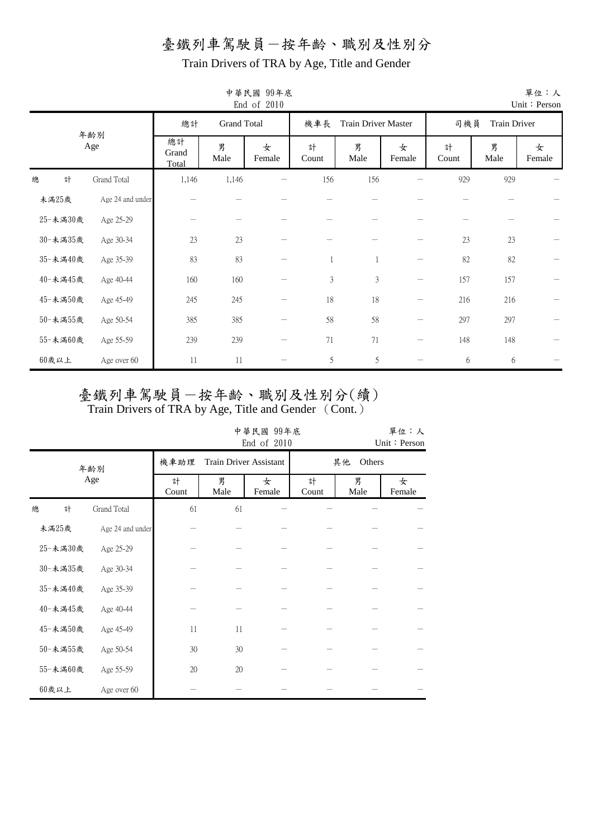Train Drivers of TRA by Age, Title and Gender

|          |                  |                      |                    | End of 2010     |                |                     |                          |            |              | Unit: Person |
|----------|------------------|----------------------|--------------------|-----------------|----------------|---------------------|--------------------------|------------|--------------|--------------|
|          |                  | 總計                   | <b>Grand Total</b> |                 | 機車長            | Train Driver Master |                          | 司機員        | Train Driver |              |
|          | 年齡別<br>Age       | 總計<br>Grand<br>Total | 男<br>Male          | 女<br>Female     | 計<br>Count     | 男<br>Male           | 女<br>Female              | 計<br>Count | 男<br>Male    | 女<br>Female  |
| 總<br>計   | Grand Total      | 1,146                | 1,146              |                 | 156            | 156                 |                          | 929        | 929          |              |
| 未滿25歲    | Age 24 and under |                      |                    |                 |                |                     |                          |            |              |              |
| 25-未満30歲 | Age 25-29        |                      |                    |                 |                |                     |                          |            |              |              |
| 30-未満35歲 | Age 30-34        | 23                   | 23                 |                 |                |                     |                          | 23         | 23           |              |
| 35-未滿40歲 | Age 35-39        | 83                   | 83                 |                 |                |                     |                          | 82         | 82           |              |
| 40-未滿45歲 | Age 40-44        | 160                  | 160                |                 | $\mathfrak{Z}$ | $\mathfrak{Z}$      | $\overline{\phantom{m}}$ | 157        | 157          |              |
| 45-未滿50歲 | Age 45-49        | 245                  | 245                | $\qquad \qquad$ | $18\,$         | 18                  | $\qquad \qquad -$        | 216        | 216          |              |
| 50-未満55歲 | Age 50-54        | 385                  | 385                |                 | 58             | 58                  | —                        | 297        | 297          |              |
| 55-未滿60歲 | Age 55-59        | 239                  | 239                |                 | 71             | 71                  | —                        | 148        | 148          |              |
| $60$ 歲以上 | Age over 60      | 11                   | 11                 |                 | $\mathfrak s$  | 5                   | $\overline{\phantom{0}}$ | 6          | 6            |              |

中華民國 99年底

臺鐵列車駕駛員一按年齡、職別及性別分(續)

|          |                  |            |                        | 中華民國 99年底<br>End of 2010 |            |           | 單位:人<br>Unit: Person |  |
|----------|------------------|------------|------------------------|--------------------------|------------|-----------|----------------------|--|
|          | 年齢別              | 機車助理       | Train Driver Assistant |                          |            | 其他        | Others               |  |
|          | Age              | 計<br>Count | 男<br>Male              | 女<br>Female              | 計<br>Count | 男<br>Male | 女<br>Female          |  |
| 計<br>總   | Grand Total      | 61         | 61                     |                          |            |           |                      |  |
| 未滿25歲    | Age 24 and under |            |                        |                          |            |           |                      |  |
| 25-未滿30歲 | Age 25-29        |            |                        |                          |            |           |                      |  |
| 30-未満35歲 | Age 30-34        |            |                        |                          |            |           |                      |  |
| 35-未滿40歲 | Age 35-39        |            |                        |                          |            |           |                      |  |
| 40-未滿45歲 | Age 40-44        |            |                        |                          |            |           |                      |  |
| 45-未滿50歲 | Age 45-49        | 11         | 11                     |                          |            |           |                      |  |
| 50-未満55歲 | Age 50-54        | 30         | 30                     |                          |            |           |                      |  |
| 55-未満60歲 | Age 55-59        | $20\,$     | $20\,$                 |                          |            |           |                      |  |
| $60$ 歲以上 | Age over 60      |            |                        |                          |            |           |                      |  |

單位:人